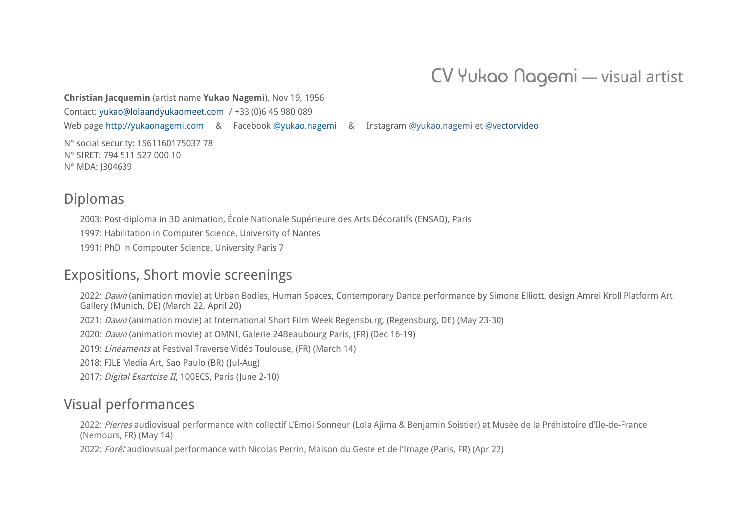# CV Yukao Nagemi ― visual artist

**Christian Jacquemin** (artist name **Yukao Nagemi**), Nov 19, 1956

Contact: [yukao@lolaandyukaomeet.com](mailto:yukao@lolaandyukaomeet.com) / +33 (0)6 45 980 089

Web page [http://yukaonagemi.com](http://yukaonagemi.com/) & Facebook [@yukao.nagemi](https://www.facebook.com/yukao.nagemi) & Instagram [@yukao.nagemi](https://www.instagram.com/yukao.nagemi/) et [@vectorvideo](https://www.instagram.com/vectorvideo/)

N° social security: 1561160175037 78 N° SIRET: 794 511 527 000 10 N° MDA: J304639

## Diplomas

2003: Post-diploma in 3D animation, École Nationale Supérieure des Arts Décoratifs (ENSAD), Paris 1997: Habilitation in Computer Science, University of Nantes

1991: PhD in Compouter Science, University Paris 7

## Expositions, Short movie screenings

2022: Dawn (animation movie) at Urban Bodies, Human Spaces, Contemporary Dance performance by Simone Elliott, design Amrei Kroll Platform Art Gallery (Munich, DE) (March 22, April 20)

2021: Dawn (animation movie) at International Short Film Week Regensburg, (Regensburg, DE) (May 23-30)

2020: Dawn (animation movie) at OMNI, Galerie 24Beaubourg Paris, (FR) (Dec 16-19)

2019: Linéaments at Festival Traverse Vidéo Toulouse, (FR) (March 14)

2018: FILE Media Art, Sao Paulo (BR) (Jul-Aug)

2017: Digital Exartcise II, 100ECS, Paris (June 2-10)

## Visual performances

2022: Pierres audiovisual performance with collectif L'Emoi Sonneur (Lola Ajima & Benjamin Soistier) at Musée de la Préhistoire d'Ile-de-France (Nemours, FR) (May 14)

2022: Forêt audiovisual performance with Nicolas Perrin, Maison du Geste et de l'Image (Paris, FR) (Apr 22)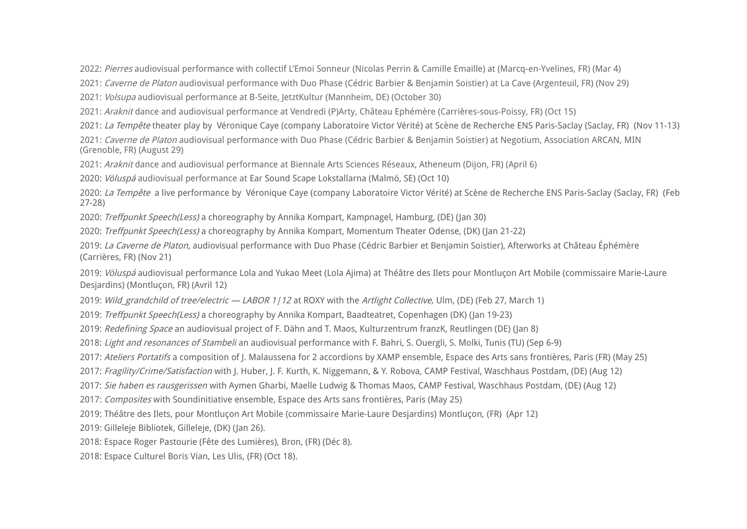2022: Pierres audiovisual performance with collectif L'Emoi Sonneur (Nicolas Perrin & Camille Emaille) at (Marcq-en-Yvelines, FR) (Mar 4)

2021: Caverne de Platon audiovisual performance with Duo Phase (Cédric Barbier & Benjamin Soistier) at La Cave (Argenteuil, FR) (Nov 29)

2021: Volsupa audiovisual performance at B-Seite, JetztKultur (Mannheim, DE) (October 30)

2021: Araknit dance and audiovisual performance at Vendredi (P)Arty, Château Ephémère (Carrières-sous-Poissy, FR) (Oct 15)

2021: La Tempête theater play by Véronique Caye (company Laboratoire Victor Vérité) at Scène de Recherche ENS Paris-Saclay (Saclay, FR) (Nov 11-13)

2021: Caverne de Platon audiovisual performance with Duo Phase (Cédric Barbier & Benjamin Soistier) at Negotium, Association ARCAN, MIN (Grenoble, FR) (August 29)

2021: Araknit dance and audiovisual performance at Biennale Arts Sciences Réseaux, Atheneum (Dijon, FR) (April 6)

2020: Völuspá audiovisual performance at Ear Sound Scape Lokstallarna (Malmö, SE) (Oct 10)

2020: La Tempête a live performance by Véronique Caye (company Laboratoire Victor Vérité) at Scène de Recherche ENS Paris-Saclay (Saclay, FR) (Feb 27-28)

2020: Treffpunkt Speech(Less) a choreography by Annika Kompart, Kampnagel, Hamburg, (DE) (Jan 30)

2020: Treffpunkt Speech(Less) a choreography by Annika Kompart, Momentum Theater Odense, (DK) (Jan 21-22)

2019: La Caverne de Platon, audiovisual performance with Duo Phase (Cédric Barbier et Benjamin Soistier), Afterworks at Château Éphémère (Carrières, FR) (Nov 21)

2019: Völuspá audiovisual performance Lola and Yukao Meet (Lola Ajima) at Théâtre des Ilets pour Montlucon Art Mobile (commissaire Marie-Laure Desjardins) (Montluçon, FR) (Avril 12)

2019: Wild grandchild of tree/electric — LABOR 1/12 at ROXY with the Artlight Collective, Ulm, (DE) (Feb 27, March 1)

2019: Treffpunkt Speech(Less) a choreography by Annika Kompart, Baadteatret, Copenhagen (DK) (Jan 19-23)

2019: Redefining Space an audiovisual project of F. Dähn and T. Maos, Kulturzentrum franzK, Reutlingen (DE) (Jan 8)

2018: Light and resonances of Stambeli an audiovisual performance with F. Bahri, S. Ouergli, S. Molki, Tunis (TU) (Sep 6-9)

2017: Ateliers Portatifs a composition of I. Malaussena for 2 accordions by XAMP ensemble. Espace des Arts sans frontières. Paris (FR) (May 25)

2017: Fragility/Crime/Satisfaction with I. Huber, I. F. Kurth, K. Niggemann, & Y. Robova, CAMP Festival, Waschhaus Postdam, (DE) (Aug 12)

2017: Sie haben es rausgerissen with Aymen Gharbi, Maelle Ludwig & Thomas Maos, CAMP Festival, Waschhaus Postdam, (DE) (Aug 12)

2017: Composites with Soundinitiative ensemble, Espace des Arts sans frontières, Paris (May 25)

2019: Théâtre des Ilets, pour Montluçon Art Mobile (commissaire Marie-Laure Desjardins) Montluçon, (FR) (Apr 12)

2019: Gilleleje Bibliotek, Gilleleje, (DK) (Jan 26).

2018: Espace Roger Pastourie (Fête des Lumières), Bron, (FR) (Déc 8).

2018: Espace Culturel Boris Vian, Les Ulis, (FR) (Oct 18).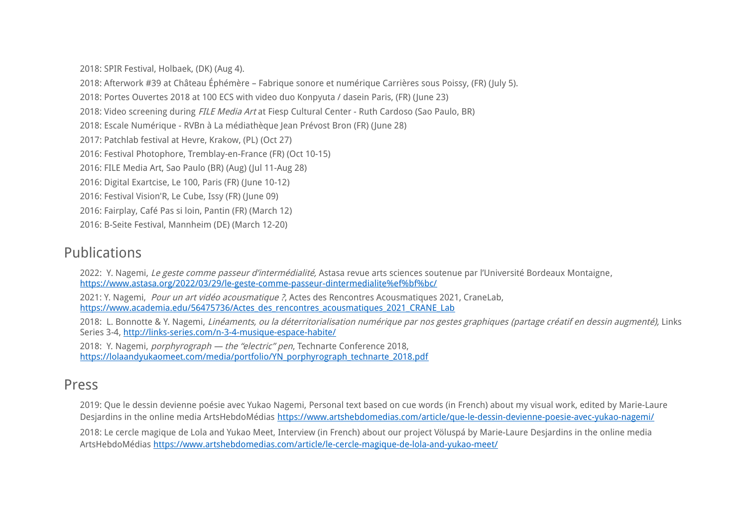2018: SPIR Festival, Holbaek, (DK) (Aug 4).

2018: Afterwork #39 at Château Éphémère – Fabrique sonore et numérique Carrières sous Poissy, (FR) (July 5). 2018: Portes Ouvertes 2018 at 100 ECS with video duo Konpyuta / dasein Paris, (FR) (June 23) 2018: Video screening during FILE Media Art at Fiesp Cultural Center - Ruth Cardoso (Sao Paulo, BR) 2018: Escale Numérique - RVBn à La médiathèque Jean Prévost Bron (FR) (June 28) 2017: Patchlab festival at Hevre, Krakow, (PL) (Oct 27) 2016: Festival Photophore, Tremblay-en-France (FR) (Oct 10-15) 2016: FILE Media Art, Sao Paulo (BR) (Aug) (Jul 11-Aug 28) 2016: Digital Exartcise, Le 100, Paris (FR) (June 10-12) 2016: Festival Vision'R, Le Cube, Issy (FR) (June 09) 2016: Fairplay, Café Pas si loin, Pantin (FR) (March 12)

2016: B-Seite Festival, Mannheim (DE) (March 12-20)

## Publications

2022: Y. Nagemi, Le geste comme passeur d'intermédialité, Astasa revue arts sciences soutenue par l'Université Bordeaux Montaigne, [https://www.astasa.org/2022/03/29/le-geste-comme-passeur-dintermedialite%ef%bf%bc/](https://www.astasa.org/2022/03/29/le-geste-comme-passeur-dintermedialite%EF%BF%BC/)

2021: Y. Nagemi, Pour un art vidéo acousmatique ?, Actes des Rencontres Acousmatiques 2021, CraneLab, [https://www.academia.edu/56475736/Actes\\_des\\_rencontres\\_acousmatiques\\_2021\\_CRANE\\_Lab](https://www.academia.edu/56475736/Actes_des_rencontres_acousmatiques_2021_CRANE_Lab)

2018: L. Bonnotte & Y. Nagemi. Linéaments, ou la déterritorialisation numérique par nos gestes graphiques (partage créatif en dessin augmenté), Links Series 3-4, <http://links-series.com/n-3-4-musique-espace-habite/>

2018: Y. Nagemi, *porphyrograph — the "electric" pen*, Technarte Conference 2018, [https://lolaandyukaomeet.com/media/portfolio/YN\\_porphyrograph\\_technarte\\_2018.pdf](https://lolaandyukaomeet.com/media/portfolio/YN_porphyrograph_technarte_2018.pdf)

## Press

2019: Que le dessin devienne poésie avec Yukao Nagemi, Personal text based on cue words (in French) about my visual work, edited by Marie-Laure Desjardins in the online media ArtsHebdoMédias<https://www.artshebdomedias.com/article/que-le-dessin-devienne-poesie-avec-yukao-nagemi/>

2018: Le cercle magique de Lola and Yukao Meet, Interview (in French) about our project Völuspá by Marie-Laure Desjardins in the online media ArtsHebdoMédias <https://www.artshebdomedias.com/article/le-cercle-magique-de-lola-and-yukao-meet/>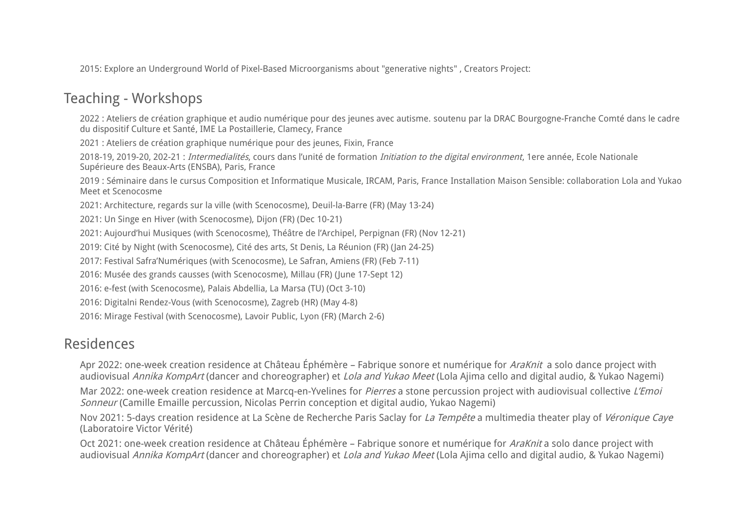2015: Explore an Underground World of Pixel-Based Microorganisms about "generative nights" , Creators Project:

## Teaching - Workshops

2022 : Ateliers de création graphique et audio numérique pour des jeunes avec autisme. soutenu par la DRAC Bourgogne-Franche Comté dans le cadre du dispositif Culture et Santé, IME La Postaillerie, Clamecy, France

2021 : Ateliers de création graphique numérique pour des jeunes, Fixin, France

2018-19, 2019-20, 202-21 : Intermedialités, cours dans l'unité de formation Initiation to the digital environment, 1ere année, Ecole Nationale Supérieure des Beaux-Arts (ENSBA), Paris, France

2019 : Séminaire dans le cursus Composition et Informatique Musicale, IRCAM, Paris, France Installation Maison Sensible: collaboration Lola and Yukao Meet et Scenocosme

2021: Architecture, regards sur la ville (with Scenocosme), Deuil-la-Barre (FR) (May 13-24)

2021: Un Singe en Hiver (with Scenocosme), Dijon (FR) (Dec 10-21)

2021: Aujourd'hui Musiques (with Scenocosme), Théâtre de l'Archipel, Perpignan (FR) (Nov 12-21)

2019: Cité by Night (with Scenocosme), Cité des arts, St Denis, La Réunion (FR) (Jan 24-25)

2017: Festival Safra'Numériques (with Scenocosme), Le Safran, Amiens (FR) (Feb 7-11)

2016: Musée des grands causses (with Scenocosme), Millau (FR) (June 17-Sept 12)

2016: e-fest (with Scenocosme), Palais Abdellia, La Marsa (TU) (Oct 3-10)

2016: Digitalni Rendez-Vous (with Scenocosme), Zagreb (HR) (May 4-8)

2016: Mirage Festival (with Scenocosme), Lavoir Public, Lyon (FR) (March 2-6)

## Residences

Apr 2022: one-week creation residence at Château Éphémère – Fabrique sonore et numérique for *AraKnit* a solo dance project with audiovisual Annika KompArt (dancer and choreographer) et Lola and Yukao Meet (Lola Ajima cello and digital audio, & Yukao Nagemi)

Mar 2022: one-week creation residence at Marcq-en-Yvelines for *Pierres* a stone percussion project with audiovisual collective L'Emoi Sonneur (Camille Emaille percussion, Nicolas Perrin conception et digital audio, Yukao Nagemi)

Nov 2021: 5-days creation residence at La Scène de Recherche Paris Saclay for La Tempête a multimedia theater play of Véronique Caye (Laboratoire Victor Vérité)

Oct 2021: one-week creation residence at Château Éphémère – Fabrique sonore et numérique for AraKnit a solo dance project with audiovisual Annika KompArt (dancer and choreographer) et *Lola and Yukao Meet* (Lola Ajima cello and digital audio, & Yukao Nagemi)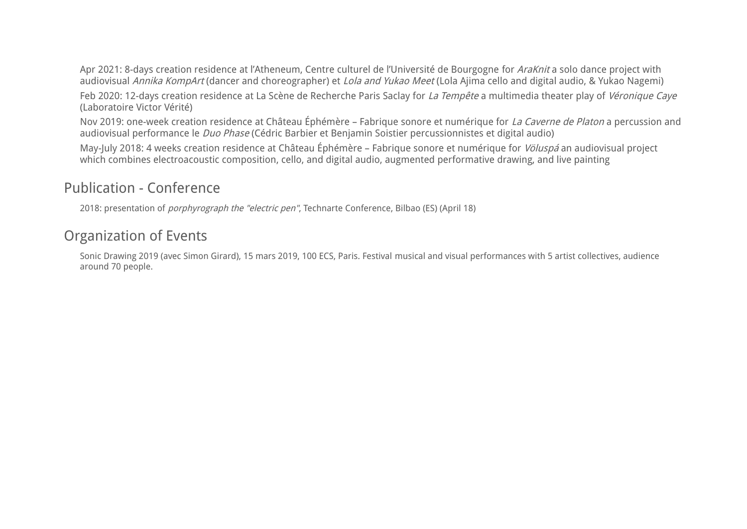Apr 2021: 8-days creation residence at l'Atheneum, Centre culturel de l'Université de Bourgogne for AraKnit a solo dance project with audiovisual Annika KompArt (dancer and choreographer) et Lola and Yukao Meet (Lola Ajima cello and digital audio, & Yukao Nagemi)

Feb 2020: 12-days creation residence at La Scène de Recherche Paris Saclay for La Tempête a multimedia theater play of Véronique Caye (Laboratoire Victor Vérité)

Nov 2019: one-week creation residence at Château Éphémère – Fabrique sonore et numérique for La Caverne de Platon a percussion and audiovisual performance le Duo Phase (Cédric Barbier et Benjamin Soistier percussionnistes et digital audio)

May-July 2018: 4 weeks creation residence at Château Éphémère – Fabrique sonore et numérique for Völuspá an audiovisual project which combines electroacoustic composition, cello, and digital audio, augmented performative drawing, and live painting

## Publication - Conference

2018: presentation of porphyrograph the "electric pen", Technarte Conference, Bilbao (ES) (April 18)

# Organization of Events

Sonic Drawing 2019 (avec Simon Girard), 15 mars 2019, 100 ECS, Paris. Festival musical and visual performances with 5 artist collectives, audience around 70 people.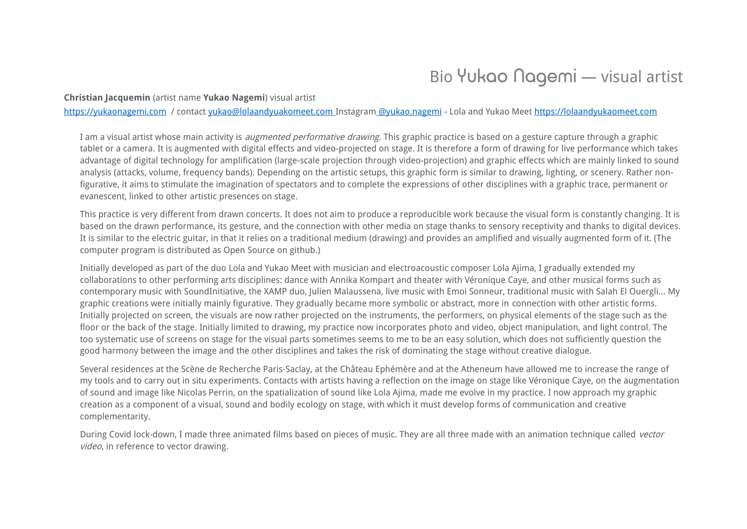# Bio Yukao Nagemi — visual artist

**Christian Jacquemin** (artist name **Yukao Nagemi**) visual artist

https://yukaonagemi.com / contact [yukao@lolaandyuakomeet.com](mailto:yukao@lolaandyuakomeet.com) Instagram [@yukao.nagemi](https://www.instagram.com/yukao.nagemi/) - Lola and Yukao Meet [https://lolaandyukaomeet.com](https://lolaandyukaomeet.com/)

I am a visual artist whose main activity is *augmented performative drawing*. This graphic practice is based on a gesture capture through a graphic tablet or a camera. It is augmented with digital effects and video-projected on stage. It is therefore a form of drawing for live performance which takes advantage of digital technology for amplification (large-scale projection through video-projection) and graphic effects which are mainly linked to sound analysis (attacks, volume, frequency bands). Depending on the artistic setups, this graphic form is similar to drawing, lighting, or scenery. Rather nonfigurative, it aims to stimulate the imagination of spectators and to complete the expressions of other disciplines with a graphic trace, permanent or evanescent, linked to other artistic presences on stage.

This practice is very different from drawn concerts. It does not aim to produce a reproducible work because the visual form is constantly changing. It is based on the drawn performance, its gesture, and the connection with other media on stage thanks to sensory receptivity and thanks to digital devices. It is similar to the electric guitar, in that it relies on a traditional medium (drawing) and provides an amplified and visually augmented form of it. (The computer program is distributed as Open Source on github.)

Initially developed as part of the duo Lola and Yukao Meet with musician and electroacoustic composer Lola Ajima, I gradually extended my collaborations to other performing arts disciplines: dance with Annika Kompart and theater with Véronique Caye, and other musical forms such as contemporary music with SoundInitiative, the XAMP duo, Julien Malaussena, live music with Emoi Sonneur, traditional music with Salah El Ouergli… My graphic creations were initially mainly figurative. They gradually became more symbolic or abstract, more in connection with other artistic forms. Initially projected on screen, the visuals are now rather projected on the instruments, the performers, on physical elements of the stage such as the floor or the back of the stage. Initially limited to drawing, my practice now incorporates photo and video, object manipulation, and light control. The too systematic use of screens on stage for the visual parts sometimes seems to me to be an easy solution, which does not sufficiently question the good harmony between the image and the other disciplines and takes the risk of dominating the stage without creative dialogue.

Several residences at the Scène de Recherche Paris-Saclay, at the Château Ephémère and at the Atheneum have allowed me to increase the range of my tools and to carry out in situ experiments. Contacts with artists having a reflection on the image on stage like Véronique Caye, on the augmentation of sound and image like Nicolas Perrin, on the spatialization of sound like Lola Ajima, made me evolve in my practice. I now approach my graphic creation as a component of a visual, sound and bodily ecology on stage, with which it must develop forms of communication and creative complementarity.

During Covid lock-down, I made three animated films based on pieces of music. They are all three made with an animation technique called vector video, in reference to vector drawing.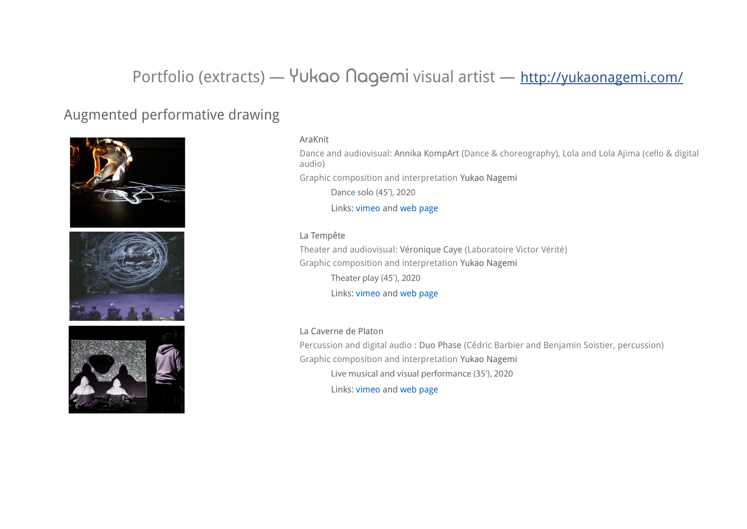# Portfolio (extracts) — Yukao Nagemi visual artist — <http://yukaonagemi.com/>

## Augmented performative drawing



#### AraKnit

Dance and audiovisual: Annika KompArt (Dance & choreography), Lola and Lola Ajima (cello & digital audio) Graphic composition and interpretation Yukao Nagemi

Dance solo (45'), 2020

Links: [vimeo](https://vimeo.com/695480297) and [web page](https://lolaandyukaomeet.com/lym-araknit/)

#### La Tempête

Theater and audiovisual: Véronique Caye (Laboratoire Victor Vérité) Graphic composition and interpretation Yukao Nagemi Theater play (45'), 2020 Links: [vimeo](https://vimeo.com/412683316) and [web page](https://lolaandyukaomeet.com/yn-la-tempete/)

### La Caverne de Platon

Percussion and digital audio : Duo Phase (Cédric Barbier and Benjamin Soistier, percussion) Graphic composition and interpretation Yukao Nagemi Live musical and visual performance (35'), 2020 Links: [vimeo](https://vimeo.com/373412160) and [web page](https://lolaandyukaomeet.com/yn-la-caverne-de-platon/)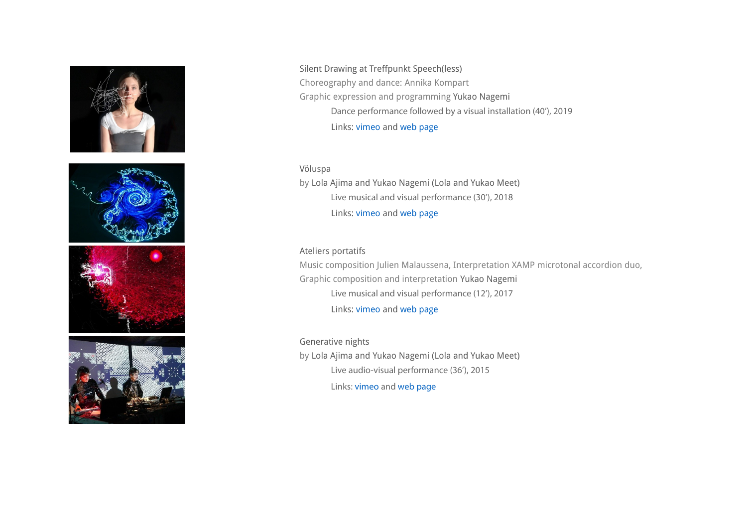







Silent Drawing at Treffpunkt Speech(less) Choreography and dance: Annika Kompart Graphic expression and programming Yukao Nagemi Dance performance followed by a visual installation (40'), 2019 Links: [vimeo](https://vimeo.com/313146701) and [web page](https://lolaandyukaomeet.com/yn-speechless/)

Völuspa by Lola Ajima and Yukao Nagemi (Lola and Yukao Meet) Live musical and visual performance (30'), 2018 Links: [vimeo](https://vimeo.com/334376893) and [web page](https://lolaandyukaomeet.com/lym-voluspa/)

## Ateliers portatifs Music composition Julien Malaussena, Interpretation XAMP microtonal accordion duo, Graphic composition and interpretation Yukao Nagemi Live musical and visual performance (12'), 2017

Links: [vimeo](https://vimeo.com/245489132) and [web page](https://lolaandyukaomeet.com/yn-ateliers-portatifs/)

Generative nights by Lola Ajima and Yukao Nagemi (Lola and Yukao Meet) Live audio-visual performance (36'), 2015 Links: [vimeo](https://vimeo.com/146484295) and [web page](https://lolaandyukaomeet.com/index.php/generative-nights-2015)